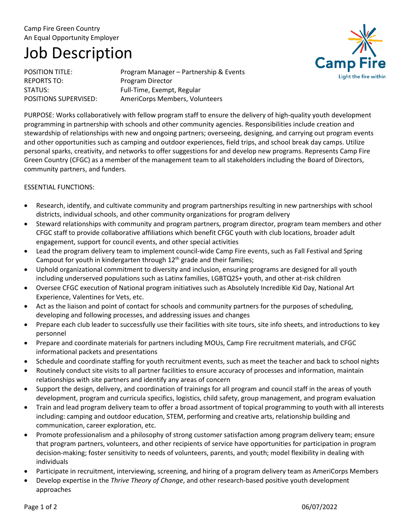## Camp Fire Green Country An Equal Opportunity Employer

# Job Description

REPORTS TO: Program Director

POSITION TITLE: POSITION TITLE: STATUS: Full-Time, Exempt, Regular POSITIONS SUPERVISED: AmeriCorps Members, Volunteers



PURPOSE: Works collaboratively with fellow program staff to ensure the delivery of high-quality youth development programming in partnership with schools and other community agencies. Responsibilities include creation and stewardship of relationships with new and ongoing partners; overseeing, designing, and carrying out program events and other opportunities such as camping and outdoor experiences, field trips, and school break day camps. Utilize personal sparks, creativity, and networks to offer suggestions for and develop new programs. Represents Camp Fire Green Country (CFGC) as a member of the management team to all stakeholders including the Board of Directors, community partners, and funders.

### ESSENTIAL FUNCTIONS:

- Research, identify, and cultivate community and program partnerships resulting in new partnerships with school districts, individual schools, and other community organizations for program delivery
- Steward relationships with community and program partners, program director, program team members and other CFGC staff to provide collaborative affiliations which benefit CFGC youth with club locations, broader adult engagement, support for council events, and other special activities
- Lead the program delivery team to implement council-wide Camp Fire events, such as Fall Festival and Spring Campout for youth in kindergarten through 12<sup>th</sup> grade and their families;
- Uphold organizational commitment to diversity and inclusion, ensuring programs are designed for all youth including underserved populations such as Latinx families, LGBTQ2S+ youth, and other at-risk children
- Oversee CFGC execution of National program initiatives such as Absolutely Incredible Kid Day, National Art Experience, Valentines for Vets, etc.
- Act as the liaison and point of contact for schools and community partners for the purposes of scheduling, developing and following processes, and addressing issues and changes
- Prepare each club leader to successfully use their facilities with site tours, site info sheets, and introductions to key personnel
- Prepare and coordinate materials for partners including MOUs, Camp Fire recruitment materials, and CFGC informational packets and presentations
- Schedule and coordinate staffing for youth recruitment events, such as meet the teacher and back to school nights
- Routinely conduct site visits to all partner facilities to ensure accuracy of processes and information, maintain relationships with site partners and identify any areas of concern
- Support the design, delivery, and coordination of trainings for all program and council staff in the areas of youth development, program and curricula specifics, logistics, child safety, group management, and program evaluation
- Train and lead program delivery team to offer a broad assortment of topical programming to youth with all interests including: camping and outdoor education, STEM, performing and creative arts, relationship building and communication, career exploration, etc.
- Promote professionalism and a philosophy of strong customer satisfaction among program delivery team; ensure that program partners, volunteers, and other recipients of service have opportunities for participation in program decision-making; foster sensitivity to needs of volunteers, parents, and youth; model flexibility in dealing with individuals
- Participate in recruitment, interviewing, screening, and hiring of a program delivery team as AmeriCorps Members
- Develop expertise in the *Thrive Theory of Change*, and other research-based positive youth development approaches